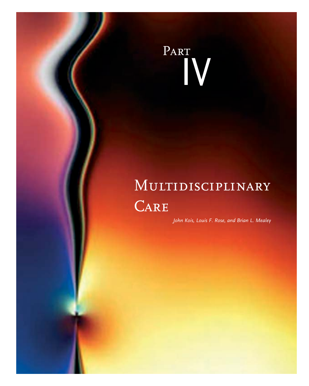# PART **IV**

# MULTIDISCIPLINARY **CARE**

*John Kois, Louis F. Rose, and Brian L. Mealey*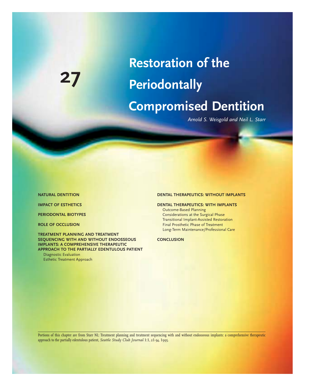# **Restoration of the Periodontally Compromised Dentition**

*Arnold S. Weisgold and Neil L. Starr*

**NATURAL DENTITION IMPACT OF ESTHETICS PERIODONTAL BIOTYPES ROLE OF OCCLUSION**

**27**

**TREATMENT PLANNING AND TREATMENT SEQUENCING WITH AND WITHOUT ENDOSSEOUS IMPLANTS: A COMPREHENSIVE THERAPEUTIC APPROACH TO THE PARTIALLY EDENTULOUS PATIENT** Diagnostic Evaluation Esthetic Treatment Approach

#### **DENTAL THERAPEUTICS: WITHOUT IMPLANTS**

# **DENTAL THERAPEUTICS: WITH IMPLANTS**

Outcome-Based Planning Considerations at the Surgical Phase Transitional Implant-Assisted Restoration Final Prosthetic Phase of Treatment Long-Term Maintenance/Professional Care

#### **CONCLUSION**

Portions of this chapter are from Starr NL: Treatment planning and treatment sequencing with and without endosseous implants: a comprehensive therapeutic approach to the partially edentulous patient, *Seattle Study Club Journal* 1:1, 21-34, 1995.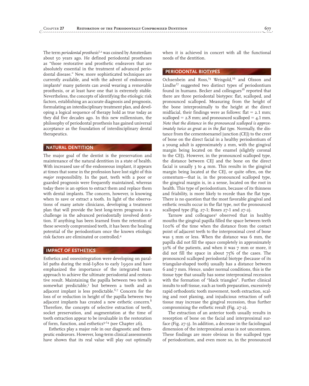The term *periodontal prosthesis<sup>1,2</sup>* was coined by Amsterdam about 50 years ago. He defined periodontal prostheses as "those restorative and prosthetic endeavors that are absolutely essential in the treatment of advanced periodontal disease." New, more sophisticated techniques are currently available, and with the advent of endosseous implants<sup>3</sup> many patients can avoid wearing a removable prosthesis, or at least have one that is extremely stable. Nevertheless, the concepts of identifying the etiologic risk factors, establishing an accurate diagnosis and prognosis, formulating an interdisciplinary treatment plan, and developing a logical sequence of therapy hold as true today as they did five decades ago. In this new millennium, the philosophy of periodontal prosthesis has gained universal acceptance as the foundation of interdisciplinary dental therapeutics.

# **NATURAL DENTITION**

The major goal of the dentist is the preservation and maintenance of the natural dentition in a state of health. With increased use of the endosseous implant, it appears at times that some in the profession have lost sight of this *major* responsibility. In the past, teeth with a poor or guarded prognosis were frequently maintained, whereas today there is an option to extract them and replace them with dental implants. The concern, however, is knowing when to save or extract a tooth. In light of the observations of many astute clinicians, developing a treatment plan that will provide the best long-term prognosis is a challenge in the advanced periodontally involved dentition. If anything has been learned from the retention of these severely compromised teeth, it has been the healing potential of the periodontium once the known etiologic risk factors are eliminated or controlled.4

# **IMPACT OF ESTHETICS**

Esthetics and osseointegration were developing on parallel paths during the mid-1980s to early 1990s and have emphasized the importance of the integrated team approach to achieve the ultimate periodontal and restorative result. Maintaining the papilla between two teeth is somewhat predictable,<sup>5</sup> but between a tooth and an adjacent implant is less predictable.<sup>6,7</sup> Concern for the loss of or reduction in height of the papilla between two adjacent implants has created a new esthetic concern.<sup>8</sup> Therefore, the concepts of selective extraction of teeth, socket preservation, and augmentation at the time of tooth extraction appear to be invaluable in the restoration of form, function, and esthetics<sup>9-14</sup> (see Chapter 26).

Esthetics play a major role in our diagnostic and therapeutic endeavors. However, long-term clinical assessments have shown that its real value will play out optimally when it is achieved in concert with all the functional needs of the dentition.

# **PERIODONTAL BIOTYPES**

-------------------------------------

Ochsenbein and Ross,<sup>15</sup> Weisgold,<sup>16</sup> and Olsson and Lindhe<sup>17</sup> suggested two distinct types of periodontium found in humans. Becker and colleagues $18$  reported that there are three periodontal biotypes: flat, scalloped, and pronounced scalloped. Measuring from the height of the bone interproximally to the height at the direct midfacial, their findings were as follows: flat  $= 2.1$  mm; scalloped  $= 2.8$  mm; and pronounced scalloped  $= 4.1$  mm. *Note that the distance in the pronounced scalloped is approximately twice as great as in the flat type*. Normally, the distance from the cementoenamel junction (CEJ) to the crest of bone on the direct facial in a healthy periodontium of a young adult is approximately 2 mm, with the gingival margin being located on the enamel (slightly coronal to the CEJ). However, in the pronounced scalloped type, the distance between CEJ and the bone on the direct facial is usually 3 to 4 mm. This results in the gingival margin being located at the CEJ, or quite often, on the cementum—that is, in the pronounced scalloped type, the gingival margin is, in a sense, located on the root in health. This type of periodontium, because of its thinness and friability, is more likely to recede than the flat type. There is no question that the most favorable gingival and esthetic results occur in the flat type, not the pronounced scalloped type (Fig. 27-1; Boxes 27-1 and 27-2).

Tarnow and colleagues<sup>5</sup> observed that in healthy mouths the gingival papilla filled the space between teeth 100% of the time when the distance from the contact point of adjacent teeth to the interproximal crest of bone was 5 mm or less. When the distance was 6 mm, the papilla did not fill the space completely in approximately 50% of the patients, and when it was 7 mm or more, it did not fill the space in about 75% of the cases. The pronounced scalloped periodontal biotype (because of its triangular-shaped tooth) usually has a distance between 6 and 7 mm. Hence, under normal conditions, this is the tissue type that usually has some interproximal recession with the formation of "black triangles". Further clinical insults to soft tissue, such as tooth preparation, excessively rapid orthodontic tooth movement, tooth extraction, scaling and root planing, and injudicious retraction of soft tissue may increase the gingival recession, thus further compromising the esthetic result (Fig. 27-2).

The extraction of an anterior tooth usually results in resorption of bone on the facial and interproximal surface (Fig. 27-3). In addition, a decrease in the faciolingual dimension of the interproximal areas is not uncommon. These findings are more obvious in the scalloped type of periodontium, and even more so, in the pronounced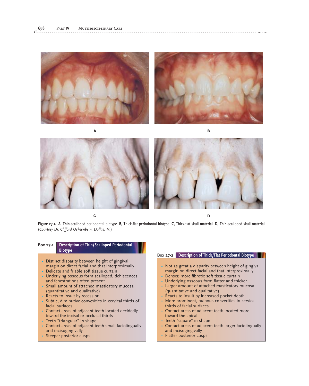

--------------------------------------------------------------------



**Figure 27-1. A,** Thin-scalloped periodontal biotype. **B,** Thick-flat periodontal biotype. **C,** Thick-flat skull material. **D,** Thin-scalloped skull material. (*Courtesy Dr. Clifford Ochsenbein, Dallas, Tx.*)



# **Description of Thick/Flat Periodontal Biotype Box 27-2**

- Not as great a disparity between height of gingival margin on direct facial and that interproximally
- Denser, more fibrotic soft tissue curtain
- Underlying osseous form flatter and thicker
- Larger amount of attached masticatory mucosa (quantitative and qualitative)
- Reacts to insult by increased pocket depth
- More prominent, bulbous convexities in cervical thirds of facial surfaces
- Contact areas of adjacent teeth located more toward the apical
- Teeth "square" in shape
- Contact areas of adjacent teeth larger faciolingually and incisogingivally
- Flatter posterior cusps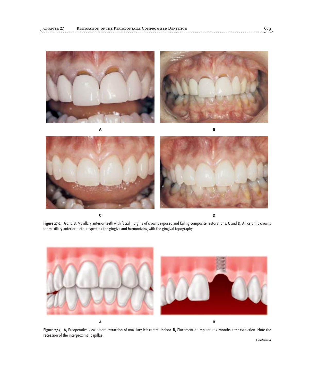



**Figure 27-2. A** and **B,** Maxillary anterior teeth with facial margins of crowns exposed and failing composite restorations. **C** and **D,** All ceramic crowns for maxillary anterior teeth, respecting the gingiva and harmonizing with the gingival topography.



**Figure 27-3. A,** Preoperative view before extraction of maxillary left central incisor. **B,** Placement of implant at 2 months after extraction. Note the recession of the interproximal papillae.

---------------------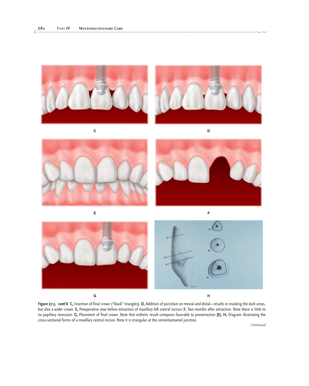

-------------------------------------------------------------------- $\sim$ 

 $\bar{\mathbf{F}}$  $\mathsf E$ 



**Figure 27-3. cont'd C,** Insertion of final crown ("black" triangles). **D,** Addition of porcelain on mesial and distal—results in masking the dark areas, but also a wider crown. **E,** Preoperative view before extraction of maxillary left central incisor. **F,** Two months after extraction. Note there is little to no papillary recession. **G,** Placement of final crown. Note that esthetic result compares favorably to preextraction **(E). H,** Diagram illustrating the cross-sectional forms of a maxillary central incisor. Note it is triangular at the cementoenamel junction.

*Continued*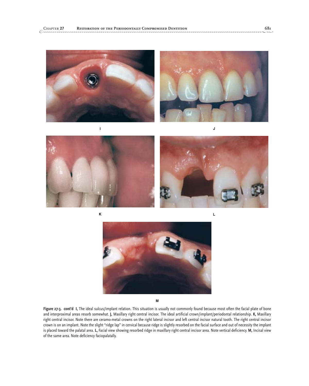$\mathbf{I}$ 







M

**Figure 27-3. cont'd I,** The ideal sulcus/implant relation. This situation is usually not commonly found because most often the facial plate of bone and interproximal areas resorb somewhat. **J,** Maxillary right central incisor. The ideal artificial crown/implant/periodontal relationship. **K,** Maxillary right central incisor. Note there are ceramo-metal crowns on the right lateral incisor and left central incisor natural tooth. The right central incisor crown is on an implant. Note the slight "ridge lap" in cervical because ridge is slightly resorbed on the facial surface and out of necessity the implant is placed toward the palatal area. **L,** Facial view showing resorbed ridge in maxillary right central incisor area. Note vertical deficiency. **M,** Incisal view of the same area. Note deficiency faciopalatally.

--------------

J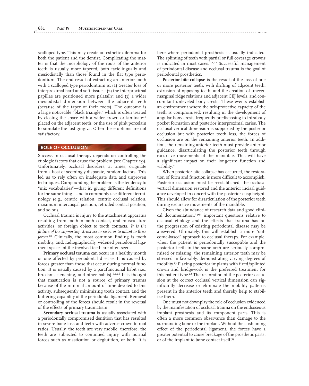scalloped type. This may create an esthetic dilemma for both the patient and the dentist. Complicating the matter is that the morphology of the roots of the anterior teeth is usually more tapered, both faciolingually and mesiodistally than those found in the flat type periodontium. The end result of extracting an anterior tooth with a scalloped type periodontium is: (1) Greater loss of interproximal hard and soft tissues; (2) the interproximal papillae are positioned more palatally; and (3) a wider mesiodistal dimension between the adjacent teeth (because of the taper of their roots). The outcome is a large noticeable "black triangle," which is often treated by closing the space with a wider crown or laminate<sup>19</sup> placed on the adjacent teeth, or the use of pink porcelain to simulate the lost gingiva. Often these options are not satisfactory.

-------------------------------------------------------------------- $\sim$ 

# **ROLE OF OCCLUSION**

Success in occlusal therapy depends on controlling the etiologic factors that cause the problem (see Chapter 29). Unfortunately, occlusal disorders, at times, originate from a host of seemingly disparate, random factors. This led us to rely often on inadequate data and unproven techniques. Compounding the problem is the tendency to "mix vocabularies"—that is, giving different definitions for the same thing—and to commonly use different terminology (e.g., centric relation, centric occlusal relation, maximum intercuspal position, retruded contact position, and so on).

Occlusal trauma is injury to the attachment apparatus resulting from tooth-to-tooth contact, oral musculature activities, or foreign object to tooth contacts. *It is the failure of the supporting structure to resist or to adapt to these forces*. <sup>20</sup> Clinically, the most common finding is tooth mobility, and, radiographically, widened periodontal ligament spaces of the involved teeth are often seen.

**Primary occlusal trauma** can occur in a healthy mouth or one affected by periodontal disease. It is caused by forces greater than those that occur during normal function. It is usually caused by a parafunctional habit (i.e., bruxism, clenching, and other habits).<sup>1,2,21</sup> It is thought that mastication is not a source of primary trauma because of the minimal amount of time devoted to this activity, subsequently minimizing tooth contact, and the buffering capability of the periodontal ligament. Removal or controlling of the forces should result in the reversal of the effects of primary traumatism.

**Secondary occlusal trauma** is usually associated with a periodontally compromised dentition that has resulted in severe bone loss and teeth with adverse crown-to-root ratios. Usually, the teeth are very mobile; therefore, the teeth are subjected to continued injury with normal forces such as mastication or deglutition, or both. It is

here where periodontal prosthesis is usually indicated. The splinting of teeth with partial or full coverage crowns is indicated in most cases.<sup>1,2,22</sup> Successful management of periodontal disease and occlusal trauma is the goal of periodontal prosthetics.

**Posterior bite collapse** is the result of the loss of one or more posterior teeth, with drifting of adjacent teeth, extrusion of opposing teeth, and the creation of uneven marginal ridge relations and adjacent CEJ levels, and concomitant unleveled bony crests. These events establish an environment where the self-protective capacity of the teeth is compromised; resulting in the development of angular bony crests frequently predisposing to infrabony pocket formation and posterior interproximal caries. The occlusal vertical dimension is supported by the posterior occlusion but with posterior tooth loss, the forces of occlusion are on the remaining anterior teeth. In addition, the remaining anterior teeth must provide anterior guidance, disarticulating the posterior teeth through excursive movements of the mandible. This will have a significant impact on their long-term function and viability.<sup>23</sup>

When posterior bite collapse has occurred, the restoration of form and function is more difficult to accomplish. Posterior occlusion must be reestablished, the occlusal vertical dimension restored and the anterior incisal guidance developed in concert with the posterior cusp height. This should allow for disarticulation of the posterior teeth during excursive movements of the mandible.

Given the abundance of research data and good clinical documentation,<sup>24-33</sup> important questions relative to occlusal etiology and the effects that trauma has on the progression of existing periodontal disease may be answered. Ultimately, this will establish a more "outcome-based" approach to occlusal therapy. For example, when the patient is periodontally susceptible and the posterior teeth in the same arch are seriously compromised or missing, the remaining anterior teeth may be stressed unfavorably, demonstrating varying degrees of mobility.23 Placing posterior implants with fixed/splinted crown and bridgework is the preferred treatment for this patient type.<sup>23</sup> The restoration of the posterior occlusion at the correct occlusal vertical dimension can significantly decrease or eliminate the mobility patterns present in the anterior teeth and thereby help to stabilize them.

One must not downplay the role of occlusion evidenced by the manifestation of occlusal trauma on the endosseous implant prosthesis and its component parts. This is often a more common observance than damage to the surrounding bone or the implant. Without the cushioning effect of the periodontal ligament, the forces have a greater potential to cause breakage of the prosthetic parts, or of the implant to bone contact itself.34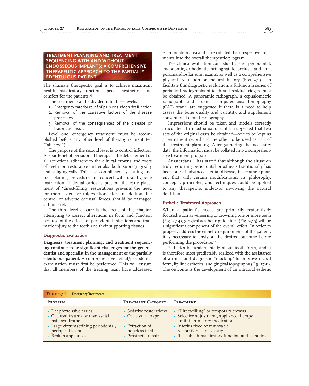# **TREATMENT PLANNING AND TREATMENT SEQUENCING WITH AND WITHOUT ENDOSSEOUS IMPLANTS: A COMPREHENSIVE THERAPEUTIC APPROACH TO THE PARTIALLY EDENTULOUS PATIENT**

The ultimate therapeutic goal is to achieve maximum health, masticatory function, speech, aesthetics, and comfort for the patients.35

- The treatment can be divided into three levels:
- **1.** Emergency care for relief of pain or sudden dysfunction
- **2.** Removal of the causative factors of the disease processes
- **3.** Removal of the consequences of the disease or traumatic insult

Level one, emergency treatment, must be accomplished before any other level of therapy is instituted (Table 27-1).

The purpose of the second level is to control infection. A basic tenet of periodontal therapy is the debridement of all accretions adherent to the clinical crowns and roots of teeth or restorative materials, both supragingivally and subgingivally. This is accomplished by scaling and root planing procedures in concert with oral hygiene instruction. If dental caries is present, the early placement of "direct-filling" restorations prevents the need for more extensive intervention later. In addition, the control of adverse occlusal forces should be managed at this level.

The third level of care is the focus of this chapter: attempting to correct alterations in form and function because of the effects of periodontal infections and traumatic injury to the teeth and their supporting tissues.

#### **Diagnostic Evaluation**

**Diagnosis, treatment planning, and treatment sequencing continue to be significant challenges for the general dentist and specialist in the management of the partially edentulous patient.** A comprehensive dental/periodontal examination must first be performed. This will ensure that all members of the treating team have addressed

each problem area and have collated their respective treatments into the overall therapeutic program.

--------------------------------------

The clinical evaluation consists of caries, periodontal, endodontic, orthodontic, orthognathic, occlusal and temporomandibular joint exams, as well as a comprehensive physical evaluation or medical history (Box 27-3). To facilitate this diagnostic evaluation, a full-mouth series of periapical radiographs of teeth and residual ridges must be obtained. A panoramic radiograph, a cephalometric radiograph, and a dental computed axial tomography (CAT) scan<sup>36</sup> are suggested if there is a need to help assess the bone quality and quantity, and supplement conventional dental radiography.

Impressions should be taken and models correctly articulated. In most situations, it is suggested that two sets of the original casts be obtained—one to be kept as a permanent record and the other to be used as part of the treatment planning. After gathering the necessary data, the information must be collated into a comprehensive treatment program.

Amsterdam<sup>1</sup>,2 has stated that although the situation truly requiring periodontal prosthesis traditionally has been one of advanced dental disease, it became apparent that with certain modifications, its philosophy, concepts, principles, and techniques could be applied to any therapeutic endeavor involving the natural dentition.

#### **Esthetic Treatment Approach**

When a patient's needs are primarily restoratively focused, such as veneering or crowning one or more teeth (Fig. 27-4), gingival aesthetic guidelines (Fig. 27-5) will be a significant component of the overall effort. In order to properly address the esthetic requirements of the patient, it is necessary to envision the desired outcome before performing the procedure.37

Esthetics is fundamentally about tooth form, and it is therefore most predictably realized with the assistance of an intraoral diagnostic "mock-up" to improve incisal form, lip line esthetics, and gingival topography (Fig. 27-6). The outcome is the development of an intraoral esthetic

#### Table 27-1 **Emergency Treatments**

| <b>PROBLEM</b>                                                                                                                                                  | <b>TREATMENT CATEGORY</b>                                                                               | TREATMENT                                                                                                                                                                                                                           |
|-----------------------------------------------------------------------------------------------------------------------------------------------------------------|---------------------------------------------------------------------------------------------------------|-------------------------------------------------------------------------------------------------------------------------------------------------------------------------------------------------------------------------------------|
| • Deep/extensive caries<br>· Occlusal trauma or myofascial<br>pain syndrome<br>• Large circumscribing periodontal/<br>periapical lesions<br>• Broken appliances | · Sedative restorations<br>• Occlusal therapy<br>Extraction of<br>hopeless teeth<br>• Prosthetic repair | • "Direct-filling" or temporary crowns<br>• Selective adjustment, appliance therapy,<br>antiinflammatory medication<br>• Interim fixed or removable<br>restoration as necessary<br>• Reestablish masticatory function and esthetics |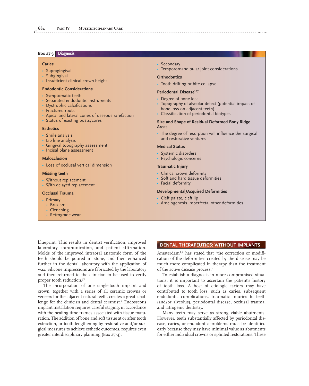# **Box 27-3 Diagnosis**

#### **Caries**

- Supragingival
- Subgingival
- Insufficient clinical crown height

#### **Endodontic Considerations**

- Symptomatic teeth
- Separated endodontic instruments
- Dystrophic calcifications
- Fractured roots
- Apical and lateral zones of osseous rarefaction
- Status of existing posts/cores

#### **Esthetics**

- Smile analysis
- Lip line analysis
- Gingival topography assessment
- Incisal plane assessment

# **Malocclusion**

• Loss of occlusal vertical dimension

#### **Missing teeth**

- Without replacement
- With delayed replacement

#### **Occlusal Trauma**

- Primary
- Bruxism
- Clenching
- Retrograde wear

#### • Secondary

-------------------------------------------------------------------- $\sim$ 

• Temporomandibular joint considerations

#### **Orthodontics**

• Tooth drifting or bite collapse

#### **Periodontal Disease<sup>107</sup>**

- Degree of bone loss
- Topography of alveolar defect (potential impact of bone loss on adjacent teeth)
- Classification of periodontal biotypes

#### **Size and Shape of Residual Deformed Bony Ridge Areas**

• The degree of resorption will influence the surgical and restorative ventures

#### **Medical Status**

- Systemic disorders
- Psychologic concerns

#### **Traumatic Injury**

- Clinical crown deformity
- Soft and hard tissue deformities
- Facial deformity

#### **Developmental/Acquired Deformities**

- Cleft palate, cleft lip
- Amelogenesis imperfecta, other deformities

blueprint. This results in dentist verification, improved laboratory communication, and patient affirmation. Molds of the improved intraoral anatomic form of the teeth should be poured in stone, and then enhanced further in the dental laboratory with the application of wax. Silicone impressions are fabricated by the laboratory and then returned to the clinician to be used to verify proper tooth reduction.37

The incorporation of one single-tooth implant and crown, together with a series of all ceramic crowns or veneers for the adjacent natural teeth, creates a great challenge for the clinician and dental ceramist.9 Endosseous implant installation requires careful staging, in accordance with the healing time frames associated with tissue maturation. The addition of bone and soft tissue at or after tooth extraction, or tooth lengthening by restorative and/or surgical measures to achieve esthetic outcomes, requires even greater interdisciplinary planning (Box 27-4).

# **DENTAL THERAPEUTICS: WITHOUT IMPLANTS**

Amsterdam<sup>1,2</sup> has stated that "the correction or modification of the deformities created by the disease may be much more complicated in therapy than the treatment of the active disease process."

To establish a diagnosis in more compromised situations, it is important to ascertain the patient's history of tooth loss. A host of etiologic factors may have contributed to tooth loss, such as caries, subsequent endodontic complications, traumatic injuries to teeth (and/or alveolus), periodontal disease, occlusal trauma, and iatrogenic dentistry.

Many teeth may serve as strong viable abutments. However, teeth substantially affected by periodontal disease, caries, or endodontic problems must be identified early because they may have minimal value as abutments for either individual crowns or splinted restorations. These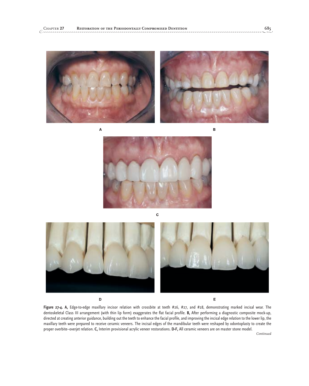



 $\mathbf c$ 



Figure 27-4. A, Edge-to-edge maxillary incisor relation with crossbite at teeth #26, #27, and #28, demonstrating marked incisal wear. The dentoskeletal Class III arrangement (with thin lip form) exaggerates the flat facial profile. **B,** After performing a diagnostic composite mock-up, directed at creating anterior guidance, building out the teeth to enhance the facial profile, and improving the incisal edge relation to the lower lip, the maxillary teeth were prepared to receive ceramic veneers. The incisal edges of the mandibular teeth were reshaped by odontoplasty to create the proper overbite–overjet relation. **C,** Interim provisional acrylic veneer restorations. **D-F,** All ceramic veneers are on master stone model.

----------------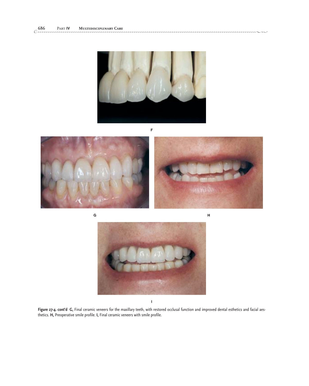

-------------------------------------------------------------------- $\sim$ 





Figure 27-4. cont'd G, Final ceramic veneers for the maxillary teeth, with restored occlusal function and improved dental esthetics and facial aesthetics. **H,** Preoperative smile profile. **I,** Final ceramic veneers with smile profile.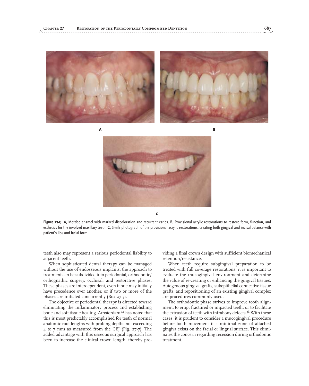



 $\mathbf c$ 

**Figure 27-5. A,** Mottled enamel with marked discoloration and recurrent caries. **B,** Provisional acrylic restorations to restore form, function, and esthetics for the involved maxillary teeth. **C,** Smile photograph of the provisional acrylic restorations, creating both gingival and incisal balance with patient's lips and facial form.

teeth also may represent a serious periodontal liability to adjacent teeth.

A

When sophisticated dental therapy can be managed without the use of endosseous implants, the approach to treatment can be subdivided into periodontal, orthodontic/ orthognathic surgery, occlusal, and restorative phases. These phases are interdependent, even if one may initially have precedence over another, or if two or more of the phases are initiated concurrently (Box 27-5).

The objective of periodontal therapy is directed toward eliminating the inflammatory process and establishing bone and soft tissue healing. Amsterdam<sup>1,2</sup> has noted that this is most predictably accomplished for teeth of normal anatomic root lengths with probing depths not exceeding 4 to 7 mm as measured from the CEJ (Fig. 27-7). The added advantage with this osseous surgical approach has been to increase the clinical crown length, thereby providing a final crown design with sufficient biomechanical retention/resistance.

B

When teeth require subgingival preparation to be treated with full coverage restorations, it is important to evaluate the mucogingival environment and determine the value of re-creating or enhancing the gingival tissues. Autogenous gingival grafts, subepithelial connective tissue grafts, and repositioning of an existing gingival complex are procedures commonly used.

The orthodontic phase strives to improve tooth alignment, to erupt fractured or impacted teeth, or to facilitate the extrusion of teeth with infrabony defects.<sup>38</sup> With these cases, it is prudent to consider a mucogingival procedure before tooth movement if a minimal zone of attached gingiva exists on the facial or lingual surface. This eliminates the concern regarding recession during orthodontic treatment.

-------------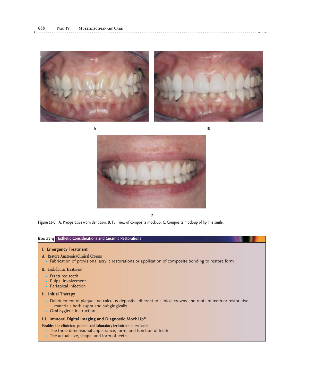

-------------------------------------------------------------------- $\sim$ 



 $\, {\bf B}$ 

 $\mathbf c$ 

**Figure 27-6. A,** Preoperative worn dentition. **B,** Full view of composite mock-up. **C**, Composite mock-up of lip line smile.

# **Esthetic Considerations and Ceramic Restorations Box 27-4**

A

- **I. Emergency Treatment**
- **A. Restore Anatomic/Clinical Crowns**
- Fabrication of provisional acrylic restorations or application of composite bonding to restore form

#### **B. Endodontic Treatment**

- Fractured teeth
- Pulpal involvement
- Periapical infection

# **II. Initial Therapy**

- Debridement of plaque and calculus deposits adherent to clinical crowns and roots of teeth or restorative materials both supra and subgingivally
- Oral hygiene instruction

# **III. Intraoral Digital Imaging and Diagnostic Mock Up37**

# **Enables the clinician, patient, and laboratory technician to evaluate:**

- The three dimensional appearance, form, and function of teeth
- The actual size, shape, and form of teeth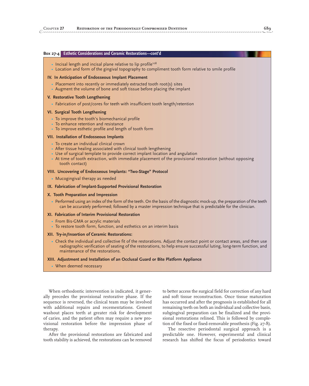#### **Esthetic Considerations and Ceramic Restorations—cont'd Box 27-4**

- Incisal length and incisal plane relative to lip profile<sup>108</sup>
- Location and form of the gingival topography to compliment tooth form relative to smile profile

# **IV. In Anticipation of Endosseous Implant Placement**

- Placement into recently or immediately extracted tooth root(s) sites
- Augment the volume of bone and soft tissue before placing the implant

#### **V. Restorative Tooth Lengthening**

• Fabrication of post/cores for teeth with insufficient tooth length/retention

# **VI. Surgical Tooth Lengthening**

- To improve the tooth's biomechanical profile
- To enhance retention and resistance
- To improve esthetic profile and length of tooth form

# **VII. Installation of Endosseous Implants**

- To create an individual clinical crown
- After tissue healing associated with clinical tooth lengthening
- Use of surgical template to provide correct implant location and angulation
- At time of tooth extraction, with immediate placement of the provisional restoration (without opposing tooth contact)

# **VIII. Uncovering of Endosseous Implants: "Two-Stage" Protocol**

• Mucogingival therapy as needed

# **IX. Fabrication of Implant-Supported Provisional Restoration**

#### **X. Tooth Preparation and Impression**

• Performed using an index of the form of the teeth. On the basis of the diagnostic mock-up, the preparation of the teeth can be accurately performed; followed by a master impression technique that is predictable for the clinician.

#### **XI. Fabrication of Interim Provisional Restoration**

- From Bis-GMA or acrylic materials
- To restore tooth form, function, and esthetics on an interim basis

# **XII. Try-in/Insertion of Ceramic Restorations:**

• Check the individual and collective fit of the restorations. Adjust the contact point or contact areas, and then use radiographic verification of seating of the restorations, to help ensure successful luting, long-term function, and maintenance of the restorations.

#### **XIII. Adjustment and Installation of an Occlusal Guard or Bite Platform Appliance**

• When deemed necessary

When orthodontic intervention is indicated, it generally precedes the provisional restorative phase. If the sequence is reversed, the clinical team may be involved with additional repairs and recementations. Cement washout places teeth at greater risk for development of caries, and the patient often may require a new provisional restoration before the impression phase of therapy.

After the provisional restorations are fabricated and tooth stability is achieved, the restorations can be removed to better access the surgical field for correction of any hard and soft tissue reconstruction. Once tissue maturation has occurred and after the prognosis is established for all remaining teeth on both an individual and collective basis, subgingival preparation can be finalized and the provisional restorations relined. This is followed by completion of the fixed or fixed-removable prosthesis (Fig. 27-8).

The resective periodontal surgical approach is a predictable one. However, experimental and clinical research has shifted the focus of periodontics toward

------------------------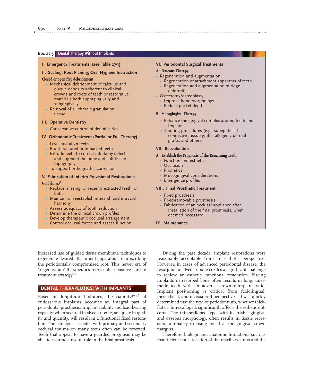# **Dental Therapy Without Implants Box 27-5**

#### **I. Emergency Treatments: (see Table 27-1)**

#### **II. Scaling, Root Planing, Oral Hygiene Instruction**

-------------------------------------------------------------------- $\sim$ 

#### **Closed or open flap debridement**

- Mechanical debridement of calculus and plaque deposits adherent to clinical crowns and roots of teeth or restorative materials both supragingivally and subgingivally
- Removal of all chronic granulation tissue

#### **III. Operative Dentistry**

• Conservative control of dental caries

# **IV. Orthodontic Treatment (Partial or Full Therapy)**

- Level and align teeth
- Erupt fractured or impacted teeth
- Extrude teeth to correct infrabony defects and augment the bone and soft tissue topography
- To support orthognathic correction

# **V. Fabrication of Interim Provisional Restorations Guidelines5<sup>1</sup>**

- Replace missing, or recently extracted teeth, or both
- Maintain or reestablish interarch and intraarch harmony
- Assess adequacy of tooth reduction
- Determine the clinical crown profiles
- Develop therapeutic occlusal arrangement
- Control occlusal forces and assess function

#### **VI. Periodontal Surgical Treatments**

- **A. Osseous Therapy**
- Regeneration and augmentation
	- Regeneration of attachment apparatus of teeth
- Regeneration and augmentation of ridge deformities
- Ostectomy/osteoplasty
	- Improve bone morphology
	- Reduce pocket depth

#### **B. Mucogingival Therapy**

- Enhance the gingival complex around teeth and implants
- Grafting procedures (e.g., subepithelial connective tissue grafts, allogenic dermal grafts, and others)

#### **VII. Reevaluation**

- **A. Establish the Prognosis of the Remaining Teeth**
	- Function and esthetics
	- Occlusion
	- Mucogingival considerations
	- Emergence profiles

# **VIII. Final Prosthetic Treatment**

- Fixed prosthesis
- Fixed-removable prosthesis
- Fabrication of an occlusal appliance after installation of the final prosthesis, when deemed necessary
- **IX. Maintenance**

increased use of guided tissue membrane techniques to regenerate desired attachment apparatus circumscribing the periodontally compromised root. This newer era of "regeneration" therapeutics represents a positive shift in treatment strategy.39

# **DENTAL THERAPEUTICS: WITH IMPLANTS**

Based on longitudinal studies, the viability<sup>40-46</sup> of endosseous implants becomes an integral part of periodontal prosthesis. Implant stability and load-bearing capacity, when secured in alveolar bone, adequate in quality and quantity, will result in a functional fixed restoration. The damage associated with primary and secondary occlusal trauma on many teeth often can be reversed. Teeth that appear to have a guarded prognosis may be able to assume a useful role in the final prosthesis.

During the past decade, implant restorations were reasonably acceptable from an esthetic perspective. However, in cases of advanced periodontal disease, the resorption of alveolar bone creates a significant challenge to achieve an esthetic, functional restoration. Placing implants in resorbed bone often results in long, unesthetic teeth with an adverse crown-to-implant ratio. Implant positioning is critical from faciolingual, mesiodistal, and incisoapical perspectives. It was quickly determined that the type of periodontium, whether thickflat or thin-scalloped, significantly affects the esthetic outcome. The thin-scalloped type, with its friable gingival and osseous morphology, often results in tissue recession, ultimately exposing metal at the gingival crown margins.

Therefore, biologic and anatomic limitations such as insufficient bone, location of the maxillary sinus and the

• Phonetics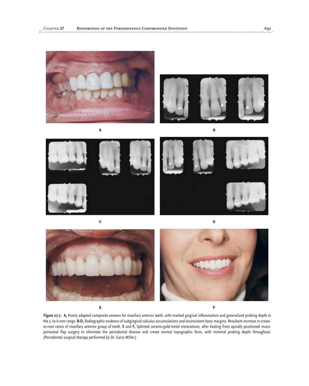





Figure 27-7. A, Poorly adapted composite veneers for maxillary anterior teeth, with marked gingival inflammation and generalized probing depth in the 5- to 6-mm range. **B-D,** Radiographic evidence of subgingival calculus accumulations and inconsistent bony margins. Resultant increase in crownto-root ratios of maxillary anterior group of teeth. **E** and **F,** Splinted ceramo-gold-metal restorations, after healing from apically positioned mucoperiosteal flap surgery to eliminate the periodontal disease and create normal topographic form, with minimal probing depth throughout. (Periodontal surgical therapy performed by Dr. Garry Miller.)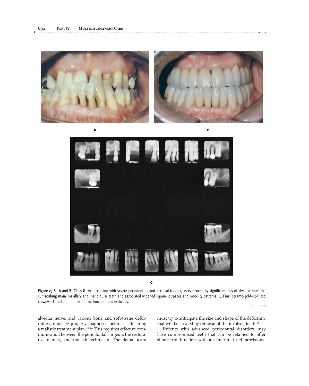A



--------------------------------------------------------------------



 $\mathbf c$ 

**Figure 27-8. A** and **B,** Class III malocclusion with severe periodontitis and occlusal trauma, as evidenced by significant loss of alveolar bone circumscribing many maxillary and mandibular teeth and associated widened ligament spaces and mobility patterns. **C,** Final ceramo-gold–splinted crownwork, restoring normal form, function, and esthetics.

*Continued*

alveolar nerve, and various bone and soft-tissue deformities, must be properly diagnosed before establishing a realistic treatment plan.<sup>47-50</sup> This requires effective communication between the periodontal surgeon, the restorative dentist, and the lab technician. The dental team

must try to anticipate the size and shape of the deformity that will be created by removal of the involved teeth.<sup>51</sup>

B

Patients with advanced periodontal disorders may have compromised teeth that can be retained to offer short-term function with an interim fixed provisional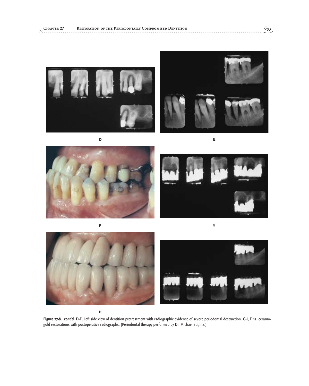





 $\pmb{\mathsf{I}}$ 

------------------------



 $\overline{\mathbf{H}}$ 

**Figure 27-8. cont'd D-F,** Left side view of dentition pretreatment with radiographic evidence of severe periodontal destruction. **G-I,** Final ceramogold restorations with postoperative radiographs. (Periodontal therapy performed by Dr. Michael Stiglitz.)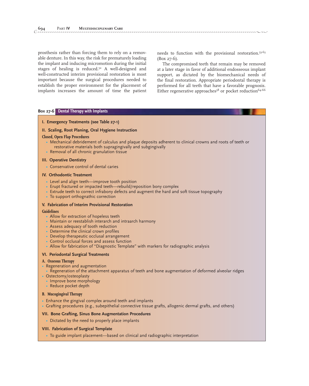prosthesis rather than forcing them to rely on a removable denture. In this way, the risk for prematurely loading the implant and inducing micromotion during the initial stages of healing is reduced.52 A well-designed and well-constructed interim provisional restoration is most important because the surgical procedures needed to establish the proper environment for the placement of implants increases the amount of time the patient

---------------------------------------------------------------------

> needs to function with the provisional restoration.53-63 (Box 27-6).

> The compromised teeth that remain may be removed at a later stage in favor of additional endosseous implant support, as dictated by the biomechanical needs of the final restoration. Appropriate periodontal therapy is performed for all teeth that have a favorable prognosis. Either regenerative approaches<sup>38</sup> or pocket reduction<sup>64-66</sup>

# **Dental Therapy with Implants Box 27-6**

#### **I. Emergency Treatments (see Table 27-1)**

#### **II. Scaling, Root Planing, Oral Hygiene Instruction**

- **Closed, Open Flap Procedures**
	- Mechanical debridement of calculus and plaque deposits adherent to clinical crowns and roots of teeth or restorative materials both supragingivally and subgingivally
	- Removal of all chronic granulation tissue

#### **III. Operative Dentistry**

• Conservative control of dental caries

# **IV. Orthodontic Treatment**

- Level and align teeth—improve tooth position
- Erupt fractured or impacted teeth—rebuild/reposition bony complex
- Extrude teeth to correct infrabony defects and augment the hard and soft tissue topography
- To support orthognathic correction

#### **V. Fabrication of Interim Provisional Restoration**

#### **Guidelines**

- Allow for extraction of hopeless teeth
- Maintain or reestablish interarch and intraarch harmony
- Assess adequacy of tooth reduction
- Determine the clinical crown profiles
- Develop therapeutic occlusal arrangement
- Control occlusal forces and assess function
- Allow for fabrication of "Diagnostic Template" with markers for radiographic analysis

# **VI. Periodontal Surgical Treatments**

# **A. Osseous Therapy**

- Regeneration and augmentation
- Regeneration of the attachment apparatus of teeth and bone augmentation of deformed alveolar ridges
- Ostectomy/osteoplasty
	- Improve bone morphology
	- Reduce pocket depth

#### **B. Mucogingival Therapy**

- Enhance the gingival complex around teeth and implants
- Grafting procedures (e.g., subepithelial connective tissue grafts, allogenic dermal grafts, and others)

# **VII. Bone Grafting, Sinus Bone Augmentation Procedures**

• Dictated by the need to properly place implants

#### **VIII. Fabrication of Surgical Template**

• To guide implant placement—based on clinical and radiographic interpretation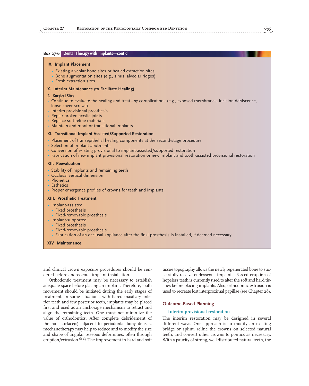# **Dental Therapy with Implants—cont'd Box 27-6**

#### **IX. Implant Placement**

- Existing alveolar bone sites or healed extraction sites
- Bone augmentation sites (e.g., sinus, alveolar ridges)
- Fresh extraction sites

# **X. Interim Maintenance (to Facilitate Healing)**

# **A. Surgical Sites**

- Continue to evaluate the healing and treat any complications (e.g., exposed membranes, incision dehiscence, loose cover screws)
- Interim provisional prosthesis
- Repair broken acrylic joints
- Replace soft reline materials
- Maintain and monitor transitional implants

#### **XI. Transitional Implant-Assisted/Supported Restoration**

- Placement of transepithelial healing components at the second-stage procedure
- Selection of implant abutments
- Conversion of existing provisional to implant-assisted/supported restoration
- Fabrication of new implant provisional restoration or new implant and tooth-assisted provisional restoration

#### **XII. Reevaluation**

- Stability of implants and remaining teeth
- Occlusal vertical dimension
- Phonetics
- **Esthetics**
- Proper emergence profiles of crowns for teeth and implants

#### **XIII. Prosthetic Treatment**

- Implant-assisted
- Fixed prosthesis
- Fixed-removable prosthesis
- Implant-supported
	- Fixed prosthesis
- Fixed-removable prosthesis
- Fabrication of an occlusal appliance after the final prosthesis is installed, if deemed necessary

#### **XIV. Maintenance**

and clinical crown exposure procedures should be rendered before endosseous implant installation.

Orthodontic treatment may be necessary to establish adequate space before placing an implant. Therefore, tooth movement should be initiated during the early stages of treatment. In some situations, with flared maxillary anterior teeth and few posterior teeth, implants may be placed first and used as an anchorage mechanism to retract and align the remaining teeth. One must not minimize the value of orthodontics. After complete debridement of the root surface(s) adjacent to periodontal bony defects, mechanotherapy may help to reduce and to modify the size and shape of angular osseous deformities, often through eruption/extrusion.<sup>67-69</sup> The improvement in hard and soft

tissue topography allows the newly regenerated bone to successfully receive endosseous implants. Forced eruption of hopeless teeth is currently used to alter the soft and hard tissues before placing implants. Also, orthodontic extrusion is used to recreate lost interproximal papillae (see Chapter 28).

#### **Outcome-Based Planning**

# **Interim provisional restoration**

The interim restoration may be designed in several different ways. One approach is to modify an existing bridge or splint, reline the crowns on selected natural teeth, and convert other crowns to pontics as necessary. With a paucity of strong, well distributed natural teeth, the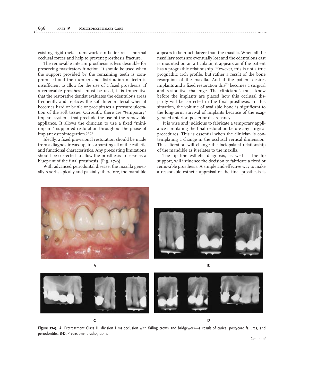existing rigid metal framework can better resist normal occlusal forces and help to prevent prosthesis fracture.

-------------------------------------------------------------------- $\sim$ 

The removable interim prosthesis is less desirable for preserving masticatory function. It should be used when the support provided by the remaining teeth is compromised and the number and distribution of teeth is insufficient to allow for the use of a fixed prosthesis. If a removable prosthesis must be used, it is imperative that the restorative dentist evaluates the edentulous areas frequently and replaces the soft liner material when it becomes hard or brittle or precipitates a pressure ulceration of the soft tissue. Currently, there are "temporary" implant systems that preclude the use of the removable appliance. It allows the clinician to use a fixed "miniimplant" supported restoration throughout the phase of implant osteointegration.<sup>70-75</sup>

Ideally, a fixed provisional restoration should be made from a diagnostic wax-up, incorporating all of the esthetic and functional characteristics. Any preexisting limitations should be corrected to allow the prosthesis to serve as a blueprint of the final prosthesis. (Fig. 27-9)

With advanced periodontal disease, the maxilla generally resorbs apically and palatally; therefore, the mandible

appears to be much larger than the maxilla. When all the maxillary teeth are eventually lost and the edentulous cast is mounted on an articulator, it appears as if the patient has a prognathic relationship. However, this is not a true prognathic arch profile, but rather a result of the bone resorption of the maxilla. And if the patient desires implants and a fixed restoration this<sup>76</sup> becomes a surgical and restorative challenge. The clinician(s) must know before the implants are placed how this occlusal disparity will be corrected in the final prosthesis. In this situation, the volume of available bone is significant to the long-term survival of implants because of the exaggerated anterior–posterior discrepancy.

It is wise and judicious to fabricate a temporary appliance simulating the final restoration before any surgical procedures. This is essential when the clinician is contemplating a change in the occlusal vertical dimension. This alteration will change the faciopalatal relationship of the mandible as it relates to the maxilla.

The lip line esthetic diagnosis, as well as the lip support, will influence the decision to fabricate a fixed or removable prosthesis. A simple and effective way to make a reasonable esthetic appraisal of the final prosthesis is





**Figure 27-9. A,** Pretreatment Class II, division I malocclusion with failing crown and bridgework—a result of caries, post/core failures, and periodontitis. **B-D,** Pretreatment radiographs.

*Continued*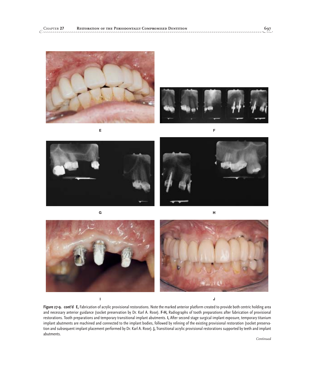

E



F





Figure 27-9. cont'd E, Fabrication of acrylic provisional restorations. Note the marked anterior platform created to provide both centric holding area and necessary anterior guidance (socket preservation by Dr. Karl A. Rose). **F-H,** Radiographs of tooth preparations after fabrication of provisional restorations. Tooth preparations and temporary transitional implant abutments. **I,** After second stage surgical implant exposure, temporary titanium implant abutments are machined and connected to the implant bodies, followed by relining of the existing provisional restoration (socket preservation and subsequent implant placement performed by Dr. Karl A. Rose). **J,** Transitional acrylic provisional restorations supported by teeth and implant abutments.

*Continued*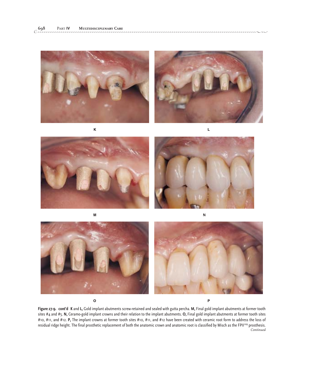

--------------------------------------------------------------------



![](_page_23_Picture_3.jpeg)

**Figure 27-9. cont'd K** and **L,** Gold implant abutments screw-retained and sealed with gutta percha. **M,** Final gold implant abutments at former tooth sites #4 and #5. **N,** Ceramo-gold implant crowns and their relation to the implant abutments. **O,** Final gold implant abutments at former tooth sites #10, #11, and #12. **P,** The implant crowns at former tooth sites #10, #11, and #12 have been created with ceramic root form to address the loss of residual ridge height. The final prosthetic replacement of both the anatomic crown and anatomic root is classified by Misch as the FPII<sup>109</sup> prosthesis. *Continued*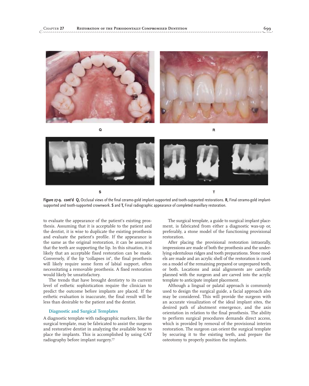![](_page_24_Picture_1.jpeg)

**Figure 27-9. cont'd Q,** Occlusal views of the final ceramo-gold implant-supported and tooth-supported restorations. **R,** Final ceramo-gold implantsupported and tooth-supported crownwork. **S** and **T,** Final radiographic appearance of completed maxillary restoration.

to evaluate the appearance of the patient's existing prosthesis. Assuming that it is acceptable to the patient and the dentist, it is wise to duplicate the existing prosthesis and evaluate the patient's profile. If the appearance is the same as the original restoration, it can be assumed that the teeth are supporting the lip. In this situation, it is likely that an acceptable fixed restoration can be made. Conversely, if the lip "collapses in", the final prosthesis will likely require some form of labial support, often necessitating a removable prosthesis. A fixed restoration would likely be unsatisfactory.

The trends that have brought dentistry to its current level of esthetic sophistication require the clinician to predict the outcome before implants are placed. If the esthetic evaluation is inaccurate, the final result will be less than desirable to the patient and the dentist.

# **Diagnostic and Surgical Templates**

A diagnostic template with radiographic markers, like the surgical template, may be fabricated to assist the surgeon and restorative dentist in analyzing the available bone to place the implants. This is accomplished by using CAT radiography before implant surgery.77

The surgical template, a guide to surgical implant placement, is fabricated from either a diagnostic wax-up or, preferably, a stone model of the functioning provisional restoration.

-----------------------------

After placing the provisional restoration intraorally, impressions are made of both the prosthesis and the underlying edentulous ridges and tooth preparations. Stone models are made and an acrylic shell of the restoration is cured on a model of the remaining prepared or unprepared teeth, or both. Locations and axial alignments are carefully planned with the surgeon and are carved into the acrylic template to anticipate implant placement.

Although a lingual or palatal approach is commonly used to design the surgical guide, a facial approach also may be considered. This will provide the surgeon with an accurate visualization of the ideal implant sites, the desired path of abutment emergence, and the axis orientation in relation to the final prosthesis. The ability to perform surgical procedures demands direct access, which is provided by removal of the provisional interim restoration. The surgeon can orient the surgical template by securing it to the existing teeth, and prepare the osteotomy to properly position the implants.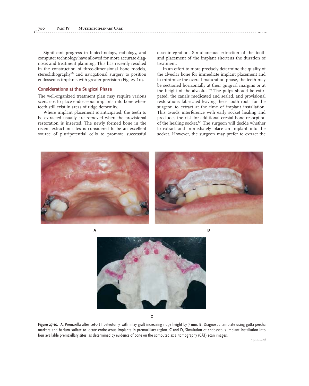Significant progress in biotechnology, radiology, and computer technology have allowed for more accurate diagnosis and treatment planning. This has recently resulted in the construction of three-dimensional bone models, stereolithography78 and navigational surgery to position endosseous implants with greater precision (Fig. 27-10).

---------------------------------------------------------------------

# **Considerations at the Surgical Phase**

The well-organized treatment plan may require various scenarios to place endosseous implants into bone where teeth still exist in areas of ridge deformity.

Where implant placement is anticipated, the teeth to be extracted usually are removed when the provisional restoration is inserted. The newly formed bone in the recent extraction sites is considered to be an excellent source of pluripotential cells to promote successful

osseointegration. Simultaneous extraction of the tooth and placement of the implant shortens the duration of treatment.

In an effort to more precisely determine the quality of the alveolar bone for immediate implant placement and to minimize the overall maturation phase, the teeth may be sectioned horizontally at their gingival margins or at the height of the alveolus.79 The pulps should be extirpated, the canals medicated and sealed, and provisional restorations fabricated leaving these tooth roots for the surgeon to extract at the time of implant installation. This avoids interference with early socket healing and precludes the risk for additional crestal bone resorption of the healing socket.<sup>80</sup> The surgeon will decide whether to extract and immediately place an implant into the socket. However, the surgeon may prefer to extract the

![](_page_25_Picture_7.jpeg)

![](_page_25_Picture_8.jpeg)

C

**Figure 27-10. A,** Premaxilla after LeFort I osteotomy, with inlay graft increasing ridge height by 7 mm. **B,** Diagnostic template using gutta percha markers and barium sulfate to locate endosseous implants in premaxillary region. **C** and **D,** Simulation of endosseous implant installation into four available premaxillary sites, as determined by evidence of bone on the computed axial tomography (CAT) scan images.

*Continued*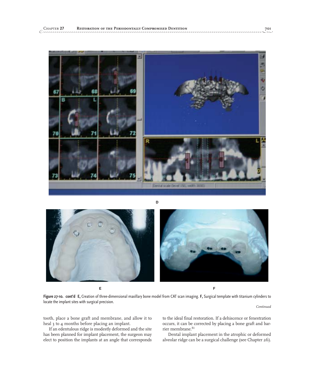![](_page_26_Figure_1.jpeg)

D

![](_page_26_Picture_3.jpeg)

**Figure 27-10. cont'd E,** Creation of three-dimensional maxillary bone model from CAT scan imaging. **F,** Surgical template with titanium cylinders to locate the implant sites with surgical precision.

*Continued*

--- $70\,\rm{I}$ 

tooth, place a bone graft and membrane, and allow it to heal 3 to 4 months before placing an implant.

If an edentulous ridge is modestly deformed and the site has been planned for implant placement, the surgeon may elect to position the implants at an angle that corresponds to the ideal final restoration. If a dehiscence or fenestration occurs, it can be corrected by placing a bone graft and barrier membrane.<sup>81</sup>

Dental implant placement in the atrophic or deformed alveolar ridge can be a surgical challenge (see Chapter 26).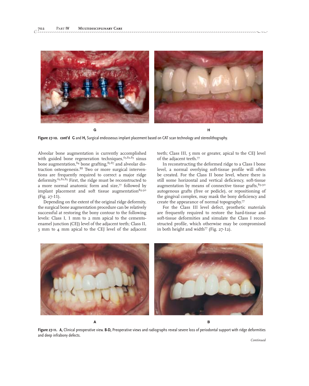![](_page_27_Picture_1.jpeg)

G

 $\overline{H}$ 

**Figure 27-10. cont'd G** and **H,** Surgical endosseous implant placement based on CAT scan technology and stereolithography.

--------------------------------------------------------------------- $\sim$ 

Alveolar bone augmentation is currently accomplished with guided bone regeneration techniques,  $63,82,83$  sinus bone augmentation, $84$  bone grafting, $85-87$  and alveolar distraction osteogenesis.<sup>88</sup> Two or more surgical interventions are frequently required to correct a major ridge deformity.63,82,83 First, the ridge must be reconstructed to a more normal anatomic form and size,77 followed by implant placement and soft tissue augmentation $89,90$ (Fig. 27-11).

Depending on the extent of the original ridge deformity, the surgical bone augmentation procedure can be relatively successful at restoring the bony contour to the following levels: Class I, 1 mm to 2 mm apical to the cementoenamel junction (CEJ) level of the adjacent teeth; Class II, 3 mm to 4 mm apical to the CEJ level of the adjacent

teeth; Class III, 5 mm or greater, apical to the CEJ level of the adjacent teeth.77

In reconstructing the deformed ridge to a Class I bone level, a normal overlying soft-tissue profile will often be created. For the Class II bone level, where there is still some horizontal and vertical deficiency, soft-tissue augmentation by means of connective tissue grafts, $89,90$ autogenous grafts (free or pedicle), or repositioning of the gingival complex, may mask the bony deficiency and create the appearance of normal topography.77

For the Class III level defect, prosthetic materials are frequently required to restore the hard-tissue and soft-tissue deformities and simulate the Class I reconstructed profile, which otherwise may be compromised in both height and width<sup>77</sup> (Fig. 27-12).

![](_page_27_Picture_10.jpeg)

 $\mathbf{A}$ 

B

**Figure 27-11. A,** Clinical preoperative view. **B-D,** Preoperative views and radiographs reveal severe loss of periodontal support with ridge deformities and deep infrabony defects.

*Continued*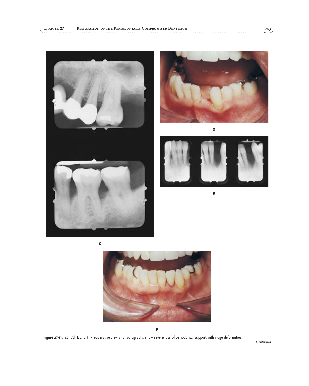![](_page_28_Picture_0.jpeg)

![](_page_28_Picture_1.jpeg)

**Figure 27-11. cont'd E** and **F,** Preoperative view and radiographs show severe loss of periodontal support with ridge deformities.

---------------------------- $703$ 

Cumumn

-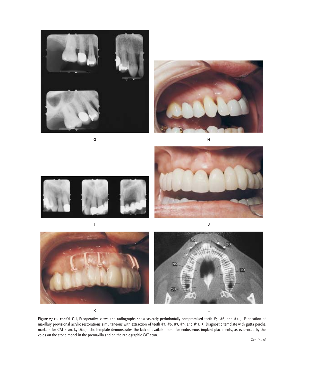![](_page_29_Picture_0.jpeg)

![](_page_29_Picture_1.jpeg)

G

![](_page_29_Picture_3.jpeg)

**Figure 27-11. cont'd G-I,** Preoperative views and radiographs show severely periodontally compromised teeth #5, #6, and #7. **J,** Fabrication of maxillary provisional acrylic restorations simultaneous with extraction of teeth #5, #6, #7, #9, and #13. **K,** Diagnostic template with gutta percha markers for CAT scan. **L,** Diagnostic template demonstrates the lack of available bone for endosseous implant placements, as evidenced by the voids on the stone model in the premaxilla and on the radiographic CAT scan.

*Continued*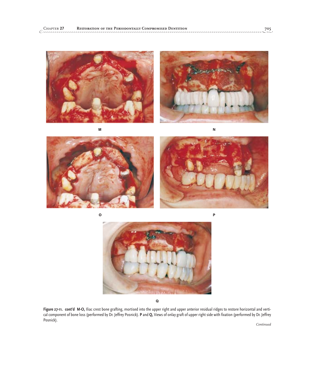![](_page_30_Picture_1.jpeg)

![](_page_30_Picture_2.jpeg)

![](_page_30_Picture_3.jpeg)

![](_page_30_Picture_4.jpeg)

 $\mathbf Q$ 

Figure 27-11. cont'd M-O, Iliac crest bone grafting, mortised into the upper right and upper anterior residual ridges to restore horizontal and vertical component of bone loss (performed by Dr. Jeffrey Posnick). **P** and **Q,** Views of onlay graft of upper right side with fixation (performed by Dr. Jeffrey Posnick).

*Continued*

----------------------

 $\mathsf{P}$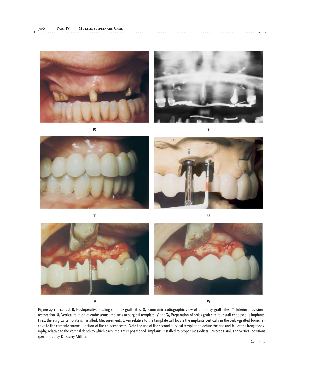![](_page_31_Picture_1.jpeg)

--------------------------------------------------------------------

![](_page_31_Picture_2.jpeg)

![](_page_31_Picture_3.jpeg)

 $\mathbf{V}$ 

W

**Figure 27-11. cont'd R,** Postoperative healing of onlay graft sites. **S,** Panoramic radiographic view of the onlay graft sites. **T,** Interim provisional restoration. **U,** Vertical relation of endosseous implants to surgical template. **V** and **W,** Preparation of onlay graft site to install endosseous implants. First, the surgical template is installed. Measurements taken relative to the template will locate the implants vertically in the onlay-grafted bone, relative to the cementoenamel junction of the adjacent teeth. Note the use of the second surgical template to define the rise and fall of the bony topography, relative to the vertical depth to which each implant is positioned. Implants installed to proper mesiodistal, buccopalatal, and vertical positions (performed by Dr. Garry Miller).

*Continued*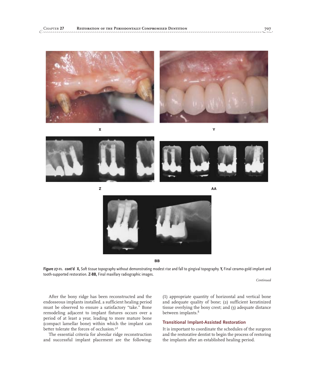![](_page_32_Picture_1.jpeg)

**BB** 

**Figure 27-11. cont'd X,** Soft tissue topography without demonstrating modest rise and fall to gingival topography. **Y,** Final ceramo-gold implant and tooth-supported restoration. **Z-BB,** Final maxillary radiographic images.

*Continued*

After the bony ridge has been reconstructed and the endosseous implants installed, a sufficient healing period must be observed to ensure a satisfactory "take." Bone remodeling adjacent to implant fixtures occurs over a period of at least a year, leading to more mature bone (compact lamellar bone) within which the implant can better tolerate the forces of occlusion.<sup>91</sup>

The essential criteria for alveolar ridge reconstruction and successful implant placement are the following:

(1) appropriate quantity of horizontal and vertical bone and adequate quality of bone; (2) sufficient keratinized tissue overlying the bony crest; and (3) adequate distance between implants.<sup>8</sup>

# **Transitional Implant-Assisted Restoration**

It is important to coordinate the schedules of the surgeon and the restorative dentist to begin the process of restoring the implants after an established healing period.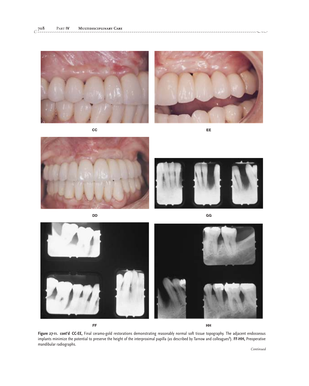![](_page_33_Picture_1.jpeg)

--------------------------------------------------------------------

![](_page_33_Picture_2.jpeg)

 $cc$ 

EE

![](_page_33_Picture_5.jpeg)

DD

GG

![](_page_33_Picture_8.jpeg)

 $\overline{\text{FF}}$ 

HH

Figure 27-11. cont'd CC-EE, Final ceramo-gold restorations demonstrating reasonably normal soft tissue topography. The adjacent endosseous implants minimize the potential to preserve the height of the interproximal papilla (as described by Tarnow and colleagues<sup>8</sup>). **FF-HH,** Preoperative mandibular radiographs.

*Continued*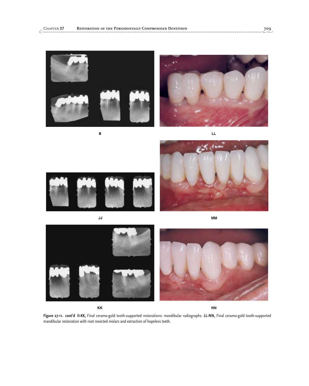![](_page_34_Picture_1.jpeg)

![](_page_34_Picture_2.jpeg)

--------------------------

 $\bar{\mathbf{u}}$ 

 $\overline{\mathsf{L}}\overline{\mathsf{L}}$ 

![](_page_34_Picture_5.jpeg)

![](_page_34_Picture_6.jpeg)

 ${\mathsf J}{\mathsf J}$ 

**MM** 

![](_page_34_Picture_9.jpeg)

KK

**NN** 

**Figure 27-11. cont'd II-KK,** Final ceramo-gold tooth-supported restorations: mandibular radiographs. **LL-NN,** Final ceramo-gold tooth-supported mandibular restoration with root resected molars and extraction of hopeless teeth.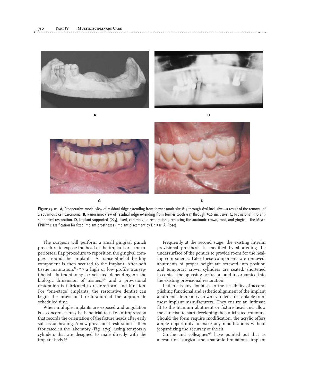![](_page_35_Picture_1.jpeg)

--------------------------------------------------------------------- $\sim$ 

Figure 27-12. A, Preoperative model view of residual ridge extending from former tooth site #17 through #26 inclusive—a result of the removal of a squamous cell carcinoma. **B,** Panoramic view of residual ridge extending from former tooth #17 through #26 inclusive. **C,** Provisional implantsupported restoration. D, Implant-supported (×5), fixed, ceramo-gold restorations, replacing the anatomic crown, root, and gingiva—the Misch FPIII<sup>109</sup> classification for fixed implant prostheses (implant placement by Dr. Karl A. Rose).

The surgeon will perform a small gingival punch procedure to expose the head of the implant or a mucoperiosteal flap procedure to reposition the gingival complex around the implants. A transepithelial healing component is then secured to the implant. After soft tissue maturation,  $8.92-95$  a high or low profile transepithelial abutment may be selected depending on the biologic dimension of tissues,96 and a provisional restoration is fabricated to restore form and function. For "one-stage" implants, the restorative dentist can begin the provisional restoration at the appropriate scheduled time.

When multiple implants are exposed and angulation is a concern, it may be beneficial to take an impression that records the orientation of the fixture heads after early soft tissue healing. A new provisional restoration is then fabricated in the laboratory (Fig. 27-5), using temporary cylinders that are designed to mate directly with the implant body.97

Frequently at the second stage, the existing interim provisional prosthesis is modified by shortening the undersurface of the pontics to provide room for the healing components. Later these components are removed, abutments of proper height are screwed into position and temporary crown cylinders are seated, shortened to contact the opposing occlusion, and incorporated into the existing provisional restoration.

If there is any doubt as to the feasibility of accomplishing functional and esthetic alignment of the implant abutments, temporary crown cylinders are available from most implant manufacturers. They ensure an intimate fit to the titanium abutment or fixture head and allow the clinician to start developing the anticipated contours. Should the form require modification, the acrylic offers ample opportunity to make any modifications without jeopardizing the accuracy of the fit.

Chiche and colleagues<sup>98</sup> have pointed out that as a result of "surgical and anatomic limitations, implant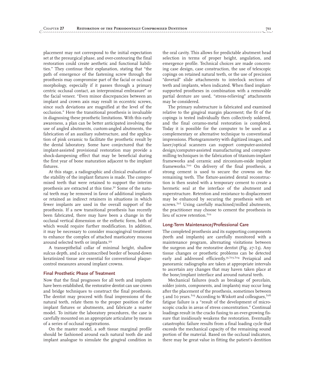placement may not correspond to the initial expectation set at the presurgical phase, and over-contouring the final restoration could create aesthetic and functional liabilities." They continue their explanation, stating that "the path of emergence of the fastening screw through the prosthesis may compromise part of the facial or occlusal morphology, especially if it passes through a primary centric occlusal contact, an interproximal embrasure" or the facial veneer. "Even minor discrepancies between an implant and crown axis may result in eccentric screws, since such deviations are magnified at the level of the occlusion." Here the transitional prosthesis is invaluable in diagnosing these prosthetic limitations. With this early awareness, a plan can be better anticipated involving the use of angled abutments, custom-angled abutments, the fabrication of an auxiliary substructure, and the application of pink ceramic to facilitate the prosthetic result by the dental laboratory. Some have conjectured that the implant-assisted provisional restoration may provide a shock-dampening effect that may be beneficial during the first year of bone maturation adjacent to the implant fixtures.

At this stage, a radiographic and clinical evaluation of the stability of the implant fixtures is made. The compromised teeth that were retained to support the interim prosthesis are extracted at this time.<sup>52</sup> Some of the natural teeth may be removed in favor of additional implants or retained as indirect retainers in situations in which fewer implants are used in the overall support of the prosthesis. If a new transitional prosthesis has recently been fabricated, there may have been a change in the occlusal vertical dimension or the esthetic form, both of which would require further modification. In addition, it may be necessary to consider mucogingival treatment to enhance the complex of attached masticatory mucosa around selected teeth or implants.99

A transepithelial collar of minimal height, shallow sulcus depth, and a circumscribed border of bound-down keratinized tissue are essential for conventional plaquecontrol measures around implant crowns.

# **Final Prosthetic Phase of Treatment**

Now that the final prognoses for all teeth and implants have been established, the restorative dentist can use crown and bridge techniques to construct the final prosthesis. The dentist may proceed with final impressions of the natural teeth, relate them to the proper position of the implant fixtures or abutments, and fabricate a master model. To initiate the laboratory procedures, the case is carefully mounted on an appropriate articulator by means of a series of occlusal registrations.

On the master model, a soft tissue marginal profile should be fashioned around each natural tooth die and implant analogue to simulate the gingival condition in the oral cavity. This allows for predictable abutment head selection in terms of proper height, angulation, and emergence profile. Technical choices are made concerning case design, case construction, the use of telescopic copings on retained natural teeth, or the use of precision "dovetail" slide attachments to interlock sections of teeth and implants, when indicated. When fixed implantsupported prostheses in combination with a removable partial denture are used, "stress-relieving" attachments may be considered.

-------------------------------------

The primary substructure is fabricated and examined relative to the gingival margin placement; the fit of the copings is tested individually then collectively soldered, and the final ceramo-metal restoration is completed. Today it is possible for the computer to be used as a complementary or alternative technique to conventional impressions. Photogrammetry with digitized images, and laser/optical scanners can support computer-assisted design/computer-assisted manufacturing and computermilling techniques in the fabrication of titanium-implant frameworks and ceramic and zirconium-oxide implant frameworks.<sup>1</sup><sup>00</sup> On delivery of the final prosthesis, a strong cement is used to secure the crowns on the remaining teeth. The fixture-assisted dental reconstruction is then seated with a temporary cement to create a hermetic seal at the interface of the abutment and superstructure. Retention and resistance to displacement may be enhanced by securing the prosthesis with set screws.<sup>101</sup> Using carefully machined/milled abutments, the practitioner may choose to cement the prosthesis in lieu of screw retention.<sup>102</sup>

# **Long-Term Maintenance/Professional Care**

The completed prosthesis and its supporting components (teeth and implants) are carefully monitored with a maintenance program, alternating visitations between the surgeon and the restorative dentist (Fig. 27-13). Any tissue changes or prosthetic problems can be detected early and addressed efficiently.35,<sup>1</sup>03,1<sup>04</sup> Periapical and panoramic radiographs are taken at appropriate intervals to ascertain any changes that may haven taken place at the bone/implant interface and around natural teeth.

Mechanical failures (such as breakage of porcelain, solder joints, components, and implants) may occur long after the placement of the prosthesis, sometimes between 5 and 10 years.<sup>105</sup> According to Wiskott and colleagues,<sup>106</sup> fatigue failure is a "result of the development of microscopic cracks in areas of stress concentration." Continual loadings result in the cracks fusing to an ever-growing fissure that insidiously weakens the restoration. Eventually catastrophic failure results from a final loading cycle that exceeds the mechanical capacity of the remaining sound portion of the material. Based on the occlusal indicators, there may be great value in fitting the patient's dentition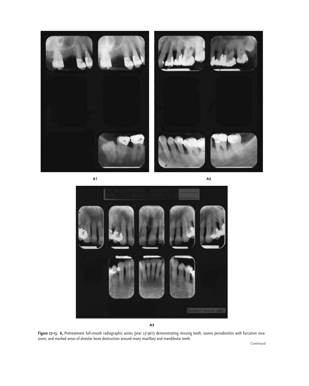![](_page_37_Picture_0.jpeg)

 $A1$ 

 $A2$ 

![](_page_37_Picture_3.jpeg)

 $A3$ 

Figure 27-13. A, Pretreatment full-mouth radiographic series (year 2/1967) demonstrating missing teeth, severe periodontitis with furcation invasions, and marked areas of alveolar bone destruction around many maxillary and mandibular teeth.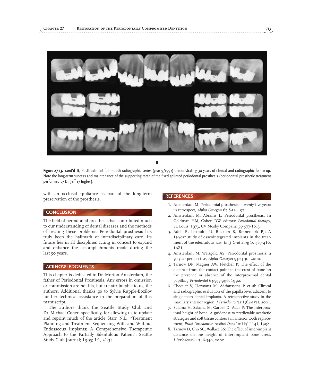![](_page_38_Picture_1.jpeg)

B

**Figure 27-13. cont'd B,** Posttreatment full-mouth radiographic series (year 9/1997) demonstrating 30 years of clinical and radiographic follow-up. Note the long-term success and maintenance of the supporting teeth of the fixed splinted periodontal prosthesis (periodontal prosthetic treatment performed by Dr. Jeffrey Ingber).

with an occlusal appliance as part of the long-term preservation of the prosthesis.

# **CONCLUSION**

The field of periodontal prosthesis has contributed much to our understanding of dental diseases and the methods of treating these problems. Periodontal prosthesis has truly been the hallmark of interdisciplinary care. Its future lies in all disciplines acting in concert to expand and enhance the accomplishments made during the last 50 years.

# **ACKNOWLEDGMENTS**

This chapter is dedicated to Dr. Morton Amsterdam, the father of Periodontal Prosthesis. Any errors in omission or commission are not his, but are attributable to us, the authors. Additional thanks go to Sylvie Rupple-Bozilov for her technical assistance in the preparation of this manuscript.

The authors thank the Seattle Study Club and Dr. Michael Cohen specifically, for allowing us to update and reprint much of the article Starr, N.L., "Treatment Planning and Treatment Sequencing With and Without Endosseous Implants; A Comprehensive Therapeutic Approach to the Partially Edentulous Patient", Seattle Study Club Journal; 1995; 1:1, 21-34.

# **REFERENCES**

1. Amsterdam M: Periodontal prosthesis—twenty-five years in retrospect, *Alpha Omegan* 67:8-52, 1974.

-------------------------------

- 2. Amsterdam M, Abrams L: Periodontal prosthesis. In Goldman HM, Cohen DW, editors: *Periodontal therapy*, St. Louis, 1973, CV Mosby Company, pp 977-1013.
- 3. Adell R, Lekholm U, Rocklen B, Branemark PJ: A 15-year study of osseointegrated implants in the treatment of the edentulous jaw, *Int J Oral Surg* 10:387-416, 1981.
- 4. Amsterdam M, Weisgold AS: Periodontal prosthesis: a 50-year perspective, *Alpha Omegan* 93:23-30, 2000.
- 5. Tarnow DP, Magner AW, Fletcher P: The effect of the distance from the contact point to the crest of bone on the presence or absence of the interproximal dental papilla, *J Periodontol* 63:935-996, 1992.
- 6. Choquet V, Hermans M, Adrianssens P et al: Clinical and radiographic evaluation of the papilla level adjacent to single-tooth dental implants. A retrospective study in the maxillary anterior region, *J Periodontol* 72:1364-1371, 2001.
- 7. Salama H, Salama M, Garber D, Adar P: The interproximal height of bone. A guidepost to predictable aesthetic strategies and soft tissue contours in anterior tooth replacement, *Pract Periodontics Aesthet Dent* 10:1131-1141, 1998.
- 8. Tarnow D, Cho SC, Wallace SS: The effect of inter-implant distance on the height of inter-implant bone crest, *J Periodontol* 4:546-549, 2000.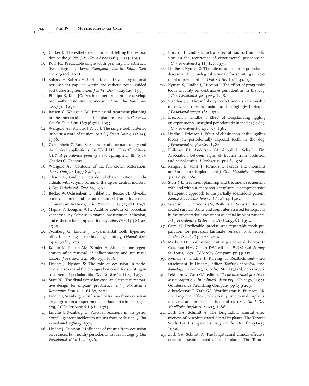9. Garber D: The esthetic dental implant: letting the restoration be the guide, *J Am Dent Assoc* 126:319-325, 1995.

--------------------------------------------------------------------- $\sim$ 

- 10. Kois JC: Predictable single tooth peri-implant esthetics: five diagnostic keys, *Compend Contin Educ Dent* 22:199-206, 2001.
- 11. Salama H, Salama M, Garber D et al: Developing optimal peri-implant papillae within the esthetic zone; guided soft tissue augmentation, *J Esthet Dent* 7:125-129, 1995.
- 12. Phillips K, Kois JC: Aesthetic peri-implant site development—the restorative connection, *Dent Clin North Am* 42:57-70, 1998.
- 13. Jansen C, Weisgold AS: Presurgical treatment planning for the anterior single tooth implant restoration, *Compend Contin Educ Dent* 16:746-761, 1995.
- 14. Weisgold AS, Arnoux J-P, Lu J: The single tooth anterior implant: a word of caution, part I, *J Esthet Dent* 9:225-233, 1998.
- 15. Ochsenbein C, Ross S: A concept of osseous surgery and its clinical applications. In Ward HL, Chas C, editors: *CDS. A periodontal point of view*. Springfield, Ill, 1973, Charles C. Thomas.
- 16. Weisgold AS: Contours of the full crown restoration, *Alpha Omegan* 10:77-89, 1977.
- 17. Olsson M, Lindhe J: Periodontal characteristics in individuals with varying forms of the upper central incisors, *J Clin Periodontol* 18:78-82, 1991.
- 18. Becker W, Ochsenbein C, Tibbetts L, Becker BE: Alveolar bone anatomic profiles as measured from dry skulls. Clinical ramifications, *J Clin Periodontol* 24:727-731, 1997.
- 19. Magne P, Douglas WH: Additive contour of porcelain veneers: a key element in enamel preservation, adhesion, and esthetics for aging dentition, *J Adhes Dent* 1(1):81-92, 1999.
- 20. Svanberg G, Lindhe J: Experimental tooth hypermobility in the dog: a methodological study, *Odontol Revy* 24:269-282, 1973.
- 21. Kantor M, Polson AM, Zander H: Alveolar bone regeneration after removal of inflammatory and traumatic factors, *J Periodontol* 47:687-695, 1976.
- 22. Lindhe J, Nyman S: The role of occlusion in periodontal disease and the biological rationale for splinting in treatment of periodontitis, *Oral Sci Rev* 10:11-43, 1977.
- 23. Starr NL: The distal extension case: an alternative restorative design for implant prosthetics, *Int J Periodontics Restorative Dent* 21:1, 61-67, 2001.
- 24. Lindhe J, Svanberg G: Influence of trauma from occlusion on progression of experimental periodontitis in the beagle dog, *J Clin Periodontol* 1:3-14, 1974.
- 25. Lindhe J, Svanberg G: Vascular reactions in the periodontal ligament incident to trauma from occlusion, *J Clin Periodontol* 1:58-69, 1974.
- 26. Lindhe J, Ericcson I: Influence of trauma from occlusion on reduced but healthy periodontal tissues in dogs, *J Clin Periodontol* 3:110-122, 1976.
- 27. Ericcson I, Lindhe J: Lack of effect of trauma from occlusion on the recurrence of experimental periodontitis, *J Clin Periodontol* 4:115-127, 1977.
- 28. Lindhe J, Nyman S: The role of occlusion in periodontal disease and the biological rationale for splinting in treatment of periodontitis, *Oral Sci Rev* 10:11-43, 1977.
- 29. Nyman S, Lindhe J, Ericcson I: The effect of progressive tooth mobility on destructive periodontitis in the dog, *J Clin Periodontol* 5:213-225, 1978.
- 30. Waerhaug J: The infrabony pocket and its relationship to trauma from occlusion and subgingival plaque, *J Periodontol* 50:355-365, 1979.
- 31. Ericcson I, Lindhe J: Effect of longstanding jiggling on experimental marginal periodontitis in the beagle dog, *J Clin Periodontol* 9:497-503, 1982.
- 32. Lindhe J, Ericcson I: Effect of elimination of the jiggling forces on periodontally exposed teeth in the dog, *J Periodontol* 53:562-567, 1982.
- 33. Philstom BL, Anderson KA, Aeppli D, Schaffer EM: Association between signs of trauma from occlusion and periodontitis, *J Periodontol* 57:1-6, 1986.
- 34. Rangert B, Jemt T, Jorneus L: Forces and moments on Branemark implants, *Int J Oral Maxillofac Implants* 4:241-247, 1989.
- 35. Starr NL: Treatment planning and treatment sequencing with and without endosseous implants: a comprehensive therapeutic approach to the partially edentulous patient, *Seattle Study Club Journal* 1:1, 21-34, 1995.
- 36. Israelson H, Plemons JM, Watkins P, Sony C: Bariumcoated surgical stents and computer-assisted tomography in the preoperative assessment of dental implant patients, *Int J Periodontics Restorative Dent* 12:53-61, 1992.
- 37. Gurel G: Predictable, precise, and repeatable tooth preparation for porcelain laminate veneers, *Pract Proced Aesthet Dent* 15(1):17-24, 2003.
- 38. Marks MH: Tooth movement in periodontal therapy. In Goldman HM, Cohen DW, editors: *Periodontal therapy*, St. Louis, 1973, CV Mosby Company, pp 533-537.
- 39. Nyman S, Lindhe J, Karring T: Reattachment—new attachment. In Lindhe J, editor: *Textbook of clinical periodontology*, Copenhagen, 1989, Munksgaard, pp 450-476.
- 40. Lekholm U, Zarb GA, editors: *Tissue-integrated prostheses: osseointegration in clinical dentistry*. Chicago, 1985, Quintessence Publishing Company, pp 199-209.
- 41. Alberektsson T, Zarb GA, Worthington P, Eriksson AR: The long-term efficacy of currently used dental implants: a review and proposed criteria of success, *Int J Oral Maxillofac Implants* 1:11-25, 1986.
- 42. Zarb GA, Schmitt A: The longitudinal clinical effectiveness of osseointegrated dental implants. The Toronto Study. Part I: surgical results, *J Prosthet Dent* 62:451-457, 1989.
- 43. Zarb GA, Schmitt A: The longitudinal clinical effectiveness of osseointegrated dental implants. The Toronto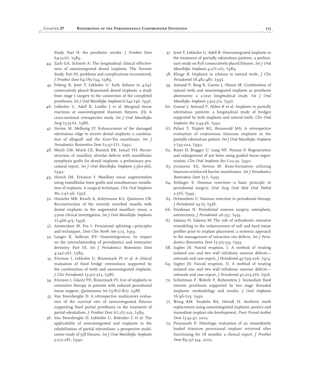Study. Part II: the prosthetic results, *J Prosthet Dent* 64:53-61, 1989.

- 44. Zarb GA, Schmitt A: The longitudinal clinical effectiveness of osseointegrated dental implants. The Toronto Study. Part III: problems and complications encountered, *J Prosthet Dent* 64:185-194, 1989.
- 45. Friberg B, Jemt T, Lekholm U: Early failures in 4,641 consecutively placed Branemark dental implants: a study from stage I surgery to the connection of the completed prostheses, *Int J Oral Maxillofac Implants* 6:142-146, 1991.
- 46. Lekholm U, Adell R, Lindhe J et al: Marginal tissue reactions at osseointegrated titanium fixtures. (II) A cross-sectional retrospective study, *Int J Oral Maxillofac Surg* 15:53-61, 1986.
- 47. Nevins M, Mellonig JT: Enhancement of the damaged edentulous ridge to receive dental implants: a combination of allograft and the Gore-Tex membrane, *Int J Periodontics Restorative Dent* 12:97-111, 1992.
- 48. Misch CM, Misch CE, Resnick RR, Ismail YH: Reconstruction of maxillary alveolar defects with mandibular symphysis grafts for dental implants: a preliminary procedural report, *Int J Oral Maxillofac Implants* 3:360-366, 1992.
- 49. Hirsch JM, Ericsson I: Maxillary sinus augmentation using mandibular bone grafts and simultaneous installation of implants. A surgical technique, *Clin Oral Implants Res* 2:91-96, 1991.
- 50. Hurzeler MB, Kirsch A, Ackermann K-L, Quinones CR: Reconstruction of the severely resorbed maxilla with dental implants in the augmented maxillary sinus: a 5-year clinical investigation, *Int J Oral Maxillofac Implants* 11:466-475, 1996.
- 51. Amsterdam M, Fox I: Provisional splinting—principles and techniques, *Dent Clin North Am* 3:73, 1959.
- 52. Langer B, Sullivan DY: Osseointegration: its impact on the interrelationship of periodontics and restorative dentistry. Part III, *Int J Periodontics Restorative Dent* 4:241-261, 1989.
- 53. Ericsson I, Lekholm U, Branemark PI et al: A clinical evaluation of fixed bridge restorations supported by the combination of teeth and osseointegrated implants, *J Clin Periodontol* 13:307-312, 1986.
- 54. Ericsson I, Glantz PO, Branemark PI: Use of implants in restorative therapy in patients with reduced periodontal tissue support, *Quintessence Int* 19:801-807, 1988.
- 55. Van Steenberghe D: A retrospective multicenter evaluation of the survival rate of osseointegrated fixtures supporting fixed partial prostheses in the treatment of partial edentulism, *J Prosthet Dent* 61:217-223, 1989.
- 56. Van Steenberghe D, Lekholm U, Bolender C et al: The applicability of osseointegrated oral implants in the rehabilitation of partial edentulism: a prospective multicenter study of 558 fixtures, *Int J Oral Maxillofac Implants* 5:272-281, 1990.

57. Jemt T, Lekholm U, Adell R: Osseointegrated implants in the treatment of partially edentulous patients: a preliminary study on 876 consecutively placed fixtures, *Int J Oral Maxillofac Implants* 4:211-217, 1989.

--------------------------------------

- 58. Klinge B: Implants in relation to natural teeth, *J Clin Periodontol* 18:482-487, 1991.
- 59. Astrand P, Borg K, Gunne J, Olsson M: Combination of natural teeth and osseointegrated implants as prosthesis abutments: a 2-year longitudinal study, *Int J Oral Maxillofac Implants* 3:305-312, 1991.
- 60. Gunne J, Astrand P, Ahlen K et al: Implants in partially edentulous patients: a longitudinal study of bridges supported by both implants and natural teeth, *Clin Oral Implants Res* 2:49-56, 1992.
- 61. Pylant T, Triplett RG, Brunsvold MA: A retrospective evaluation of endosseous titanium implants in the partially edentulous patient, *Int J Oral Maxillofac Implants* 7:195-202, 1992.
- 62. Buser D, Bragger U, Lang NP, Nyman S: Regeneration and enlargement of jaw bone using guided tissue regeneration, *Clin Oral Implants Res* 1:22-32, 1990.
- 63. Jovanovic SA, Nevins M: Bone-formation utilizing titanium-reinforced barrier membranes, *Int J Periodontics Restorative Dent* 15:1, 1995.
- 64. Schluger S: Osseous resection—a basic principle in periodontal surgery, *Oral Surg Oral Med Oral Pathol* 2:316, 1949.
- 65. Ochsenbein C: Osseous resection in periodontal therapy, *J Periodontol* 29:15, 1958.
- 66. Friedman N: Periodontal osseous surgery, osteoplasty, osteoectomy, *J Periodontol* 26:257, 1955.
- 67. Salama H, Salama M: The role of orthodontic extrusive remodeling in the enhancement of soft and hard tissue profiles prior to implant placement: a systemic approach to the management of extraction site defects, *Int J Periodontics Restorative Dent* 13:312-333, 1993.
- 68. Ingber JS: Forced eruption, I. A method of treating isolated one and two wall infrabony osseous defects rationale and case report, *J Periodontol* 45:199-206, 1974.
- 69. Ingber JS: Forced eruption, II. A method of treating isolated one and two wall infrabony osseous defects rationale and case report, *J Periodontol* 47:203-216, 1976.
- 70. Schnitman P, Wohrle P, Rubenstein J: Immediate fixed interim prosthesis supported by two stage threaded implants: methodology and results, *J Oral Implants* 16:96-105, 1990.
- 71. Wong KM, Youdelis RA, Heindl H: Aesthetic tooth replacement using osseointegrated implants: pontics and immediate implant site development, *Pract Proced Aesthet Dent* 15:45-47, 2003.
- 72. Proussaefs P: Histologic evaluation of an immediately loaded titanium provisional implant retrieved after functioning for 18 months: a clinical report, *J Prosthet Dent* 89:331-334, 2003.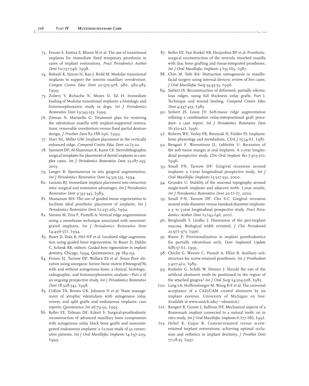73. Froum S, Emtiaz S, Bloom M et al: The use of transitional implants for immediate fixed temporary prosthesis in cases of implant restorations, *Pract Periodontics Aesthet Dent* 10:737-746, 1998.

--------------------------------------------------------------------- $\sim$ 

- 74. Bohsali K, Simon H, Kan J, Redd M: Modular transitional implants to support the interim maxillary overdenture, *Compen Contin Educ Dent* 20:975-978, 980, 982-983, 1999.
- 75. Zubery Y, Bichacho N, Moses O, Tal H: Immediate loading of Modular transitional implants: a histologic and histomorphometric study in dogs, *Int J Periodontics Restorative Dent* 19:343-353, 1999.
- 76. Zitman N, Marinello G: Treatment plan for restoring the edentulous maxilla with implant-supported restorations: removable overdenture versus fixed partial denture design, *J Prosthet Dent* 82:188-196, 1999.
- 77. Starr NL, Miller GM: Implant placement in the vertically enhanced ridge, *Compend Contin Educ Dent* 22:13-22.
- 78. Sarment DP, Al-Shammari K, Kazor CE: Stereolithographic surgical templates for placement of dental implants in complex cases, *Int J Periodontics Restorative Dent* 23:287-295, 2003.
- 79. Langer B: Spontaneous in situ gingival augmentation, *Int J Periodontics Restorative Dent* 14:525-535, 1994.
- 80. Lazzara RJ: Immediate implant placement into extraction sites: surgical and restorative advantages, *Int J Periodontics Restorative Dent* 9:333-343, 1989.
- 81. Shanaman RH: The use of guided tissue regeneration to facilitate ideal prosthetic placement of implants, *Int J Periodontics Restorative Dent* 12:257-265, 1992.
- 82. Simion M, Trisi P, Piattelli A: Vertical ridge augmentation using a membrane technique associated with osseointegrated implants, *Int J Periodontics Restorative Dent* 14:496-511, 1994.
- 83. Buser D, Dula K, Hirt HP et al: Localized ridge augmentation using guided bone regeneration. In Buser D, Dahlin C, Schenk RK, editors: *Guided bone regeneration in implant dentistry*, Chicago, 1994, Quintessence, pp 189-233.
- 84. Froum SJ, Tarnow DP, Wallace SS et al: Sinus floor elevation using anorganic bovine bone matrix (Osteograf/N) with and without autogenous bone: a clinical, histologic, radiographic, and histomorphometric analysis—Part 2 of an ongoing prospective study, *Int J Periodontics Restorative Dent* 18:528-543, 1998.
- 85. Collins TA, Brown GK, Johnson N et al: Team management of atrophic edentulism with autogenous inlay, veneer, and split grafts and endosseous implants: case reports, *Quintessence Int* 26:79-93, 1995.
- 86. Keller EE, Tolman DE, Eckert S: Surgical-prosthodontic reconstruction of advanced maxillary bone compromise with autogenous onlay block bone grafts and osseointegrated endosseous implants: a 12-year study of 32 consecutive patients, *Int J Oral Maxillofac Implants* 14:197-209, 1999.
- 87. Keller EE, Van Roekel NB, Desjardins RP et al: Prostheticsurgical reconstruction of the severely resorbed maxilla with iliac bone grafting and tissue-integrated prostheses, *Int J Oral Maxillofac Implants* 3:155-165, 1987.
- 88. Chin M, Toth BA: Distraction osteogenesis in maxillofacial surgery using internal devices: review of five cases, *J Oral Maxillofac Surg* 54:45-53, 1996.
- 89. Siebert JS: Reconstruction of deformed, partially edentulous ridges, using full thickness onlay grafts. Part I. Technique and wound healing, *Compend Contin Educ Dent* 4:437-453, 1983.
- 90. Seibert JS, Louis JV: Soft-tissue ridge augmentation utilizing a combination onlay-interpositional graft procedure: a case report, *Int J Periodontics Restorative Dent* 16:310-321, 1996.
- 91. Roberts WE, Turley PK, Brezniak N, Fielder PJ: Implants: bone physiology and metabolism, *CDA J* 15:54-61, 1987.
- 92. Bengazi F, Wennstrom JL, Lekholm U: Recession of the soft tissue margin at oral implants. A 2-year longitudinal prospective study, *Clin Oral Implant Res* 7:303-310, 1996.
- 93. Small PN, Tarnow DP: Gingival recession around implants: a 1-year longitudinal prospective study, *Int J Oral Maxillofac Implants* 15:527-532, 2000.
- 94. Grunder U: Stability of the mucosal topography around single-tooth implants and adjacent teeth: 1-year results, *Int J Periodontics Restorative Dent* 20:11-17, 2000.
- 95. Small P-N, Tarnow DP, Cho S-C: Gingival recession around wide-diameter versus standard-diameter implants: a 3- to 5-year longitudinal prospective study, *Pract Periodontics Aesthet Dent* 13:143-146, 2001.
- 96. Berglundh T, Lindhe J: Dimension of the peri-implant mucosa. Biological width revisited, *J Clin Periodontol* 23:971-973, 1996.
- 97. Binon P: Provisionalization in implant prosthodontics for partially edentulous arch, *Dent Implantol Update* 6(8):57-61, 1995.
- 98. Chiche G, Weaver C, Pinault A, Elliot R: Auxiliary substructure for screw-retained prostheses, *Int J Prosthodont* 5:407-412, 1989.
- 99. Krekeler G, Schilli W, Diemer J: Should the exit of the artificial abutment tooth be positioned in the region of the attached gingiva? *Int J Oral Surg* 14:504-508, 1985.
- 100. Lang LA, Hoffensburger M, Wang R-F et al: The universal acceptance of a CAD/CAM created abutment by six implant systems. University of Michigan on line: Available at www.umich.edu/ $\nu$ nbumictr/
- 101. Rangert B, Gunne J, Sullivan DY: Mechanical aspects of a Branemark implant connected to a natural tooth: an in vitro study, *Int J Oral Maxillofac Implants* 6:177-186, 1991.
- 102. Hebel K, Gajjar R: Cement-retained versus screwretained implant restorations: achieving optimal occlusion and esthetics in implant dentistry, *J Prosthet Dent* 77:28-35, 1997.